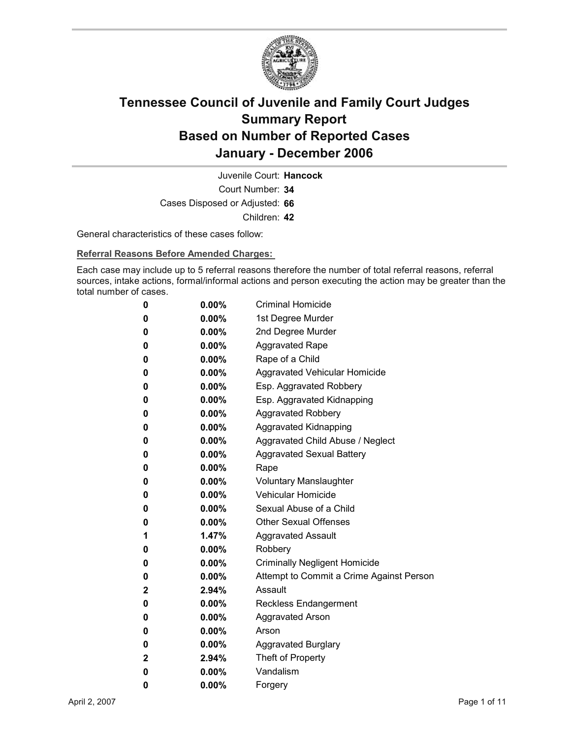

Court Number: **34** Juvenile Court: **Hancock** Cases Disposed or Adjusted: **66** Children: **42**

General characteristics of these cases follow:

**Referral Reasons Before Amended Charges:** 

Each case may include up to 5 referral reasons therefore the number of total referral reasons, referral sources, intake actions, formal/informal actions and person executing the action may be greater than the total number of cases.

| 0 | $0.00\%$ | <b>Criminal Homicide</b>                 |
|---|----------|------------------------------------------|
| 0 | $0.00\%$ | 1st Degree Murder                        |
| 0 | $0.00\%$ | 2nd Degree Murder                        |
| 0 | $0.00\%$ | <b>Aggravated Rape</b>                   |
| 0 | $0.00\%$ | Rape of a Child                          |
| 0 | 0.00%    | Aggravated Vehicular Homicide            |
| 0 | $0.00\%$ | Esp. Aggravated Robbery                  |
| 0 | $0.00\%$ | Esp. Aggravated Kidnapping               |
| 0 | 0.00%    | <b>Aggravated Robbery</b>                |
| 0 | $0.00\%$ | Aggravated Kidnapping                    |
| 0 | $0.00\%$ | Aggravated Child Abuse / Neglect         |
| 0 | $0.00\%$ | <b>Aggravated Sexual Battery</b>         |
| 0 | $0.00\%$ | Rape                                     |
| 0 | $0.00\%$ | Voluntary Manslaughter                   |
| 0 | $0.00\%$ | <b>Vehicular Homicide</b>                |
| 0 | $0.00\%$ | Sexual Abuse of a Child                  |
| 0 | $0.00\%$ | <b>Other Sexual Offenses</b>             |
| 1 | $1.47\%$ | <b>Aggravated Assault</b>                |
| 0 | 0.00%    | Robbery                                  |
| 0 | $0.00\%$ | <b>Criminally Negligent Homicide</b>     |
| 0 | $0.00\%$ | Attempt to Commit a Crime Against Person |
| 2 | 2.94%    | Assault                                  |
| 0 | $0.00\%$ | <b>Reckless Endangerment</b>             |
| 0 | $0.00\%$ | <b>Aggravated Arson</b>                  |
| 0 | $0.00\%$ | Arson                                    |
| 0 | 0.00%    | <b>Aggravated Burglary</b>               |
| 2 | 2.94%    | Theft of Property                        |
| 0 | $0.00\%$ | Vandalism                                |
| 0 | 0.00%    | Forgery                                  |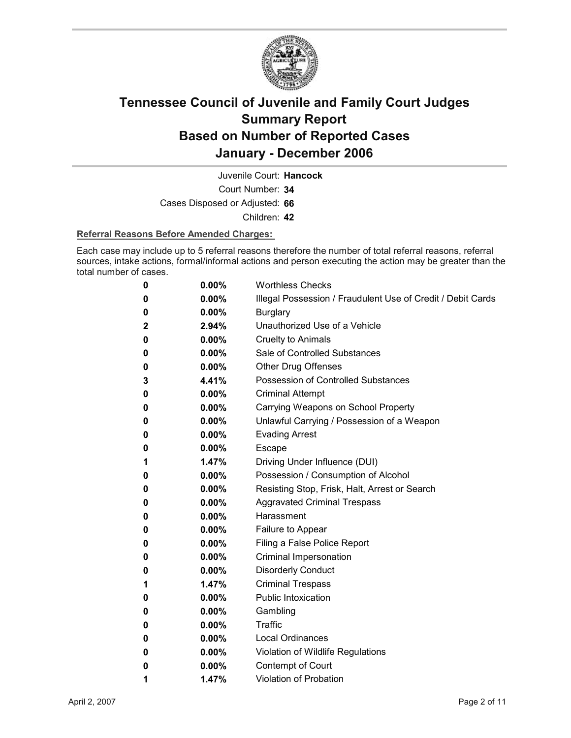

Juvenile Court: **Hancock**

Court Number: **34**

Cases Disposed or Adjusted: **66**

Children: **42**

#### **Referral Reasons Before Amended Charges:**

Each case may include up to 5 referral reasons therefore the number of total referral reasons, referral sources, intake actions, formal/informal actions and person executing the action may be greater than the total number of cases.

| 0 | 0.00%    | <b>Worthless Checks</b>                                     |
|---|----------|-------------------------------------------------------------|
| 0 | $0.00\%$ | Illegal Possession / Fraudulent Use of Credit / Debit Cards |
| 0 | $0.00\%$ | <b>Burglary</b>                                             |
| 2 | 2.94%    | Unauthorized Use of a Vehicle                               |
| 0 | $0.00\%$ | <b>Cruelty to Animals</b>                                   |
| 0 | $0.00\%$ | Sale of Controlled Substances                               |
| 0 | $0.00\%$ | <b>Other Drug Offenses</b>                                  |
| 3 | 4.41%    | Possession of Controlled Substances                         |
| 0 | $0.00\%$ | <b>Criminal Attempt</b>                                     |
| 0 | $0.00\%$ | Carrying Weapons on School Property                         |
| 0 | $0.00\%$ | Unlawful Carrying / Possession of a Weapon                  |
| 0 | $0.00\%$ | <b>Evading Arrest</b>                                       |
| 0 | $0.00\%$ | <b>Escape</b>                                               |
| 1 | 1.47%    | Driving Under Influence (DUI)                               |
| 0 | $0.00\%$ | Possession / Consumption of Alcohol                         |
| 0 | $0.00\%$ | Resisting Stop, Frisk, Halt, Arrest or Search               |
| 0 | $0.00\%$ | <b>Aggravated Criminal Trespass</b>                         |
| 0 | $0.00\%$ | Harassment                                                  |
| 0 | $0.00\%$ | Failure to Appear                                           |
| 0 | $0.00\%$ | Filing a False Police Report                                |
| 0 | $0.00\%$ | Criminal Impersonation                                      |
| 0 | $0.00\%$ | <b>Disorderly Conduct</b>                                   |
| 1 | 1.47%    | <b>Criminal Trespass</b>                                    |
| 0 | $0.00\%$ | <b>Public Intoxication</b>                                  |
| 0 | $0.00\%$ | Gambling                                                    |
| 0 | $0.00\%$ | <b>Traffic</b>                                              |
| 0 | $0.00\%$ | Local Ordinances                                            |
| 0 | $0.00\%$ | Violation of Wildlife Regulations                           |
| 0 | $0.00\%$ | Contempt of Court                                           |
| 1 | 1.47%    | <b>Violation of Probation</b>                               |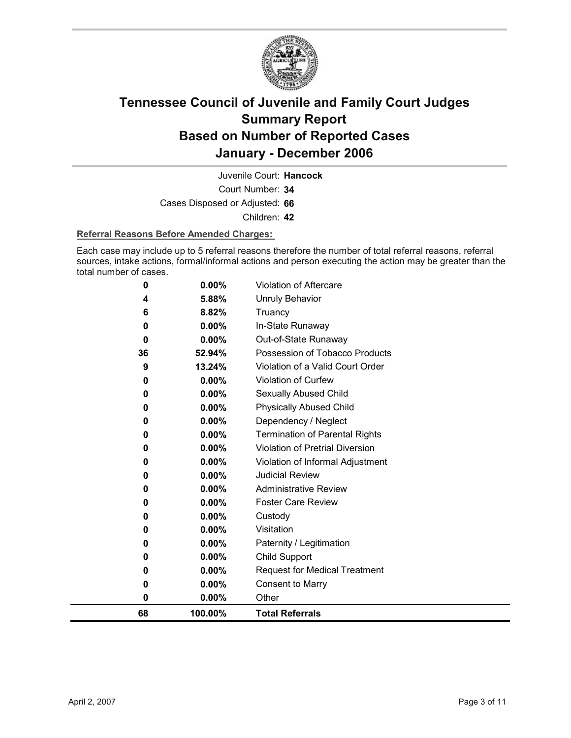

Court Number: **34** Juvenile Court: **Hancock** Cases Disposed or Adjusted: **66** Children: **42**

#### **Referral Reasons Before Amended Charges:**

Each case may include up to 5 referral reasons therefore the number of total referral reasons, referral sources, intake actions, formal/informal actions and person executing the action may be greater than the total number of cases.

| 68      | 100.00%          | <b>Total Referrals</b>                                             |
|---------|------------------|--------------------------------------------------------------------|
| 0       | 0.00%            | Other                                                              |
| 0       | 0.00%            | <b>Consent to Marry</b>                                            |
| 0       | $0.00\%$         | <b>Request for Medical Treatment</b>                               |
| 0       | $0.00\%$         | Child Support                                                      |
| 0       | 0.00%            | Paternity / Legitimation                                           |
| 0       | $0.00\%$         | Visitation                                                         |
| 0       | 0.00%            | Custody                                                            |
| 0       | $0.00\%$         | <b>Foster Care Review</b>                                          |
| 0       | 0.00%            | <b>Administrative Review</b>                                       |
| 0       | 0.00%            | <b>Judicial Review</b>                                             |
| 0       | 0.00%            | Violation of Informal Adjustment                                   |
| 0       | 0.00%            | Violation of Pretrial Diversion                                    |
| 0       | 0.00%            | <b>Termination of Parental Rights</b>                              |
| 0       | 0.00%            | Dependency / Neglect                                               |
| 0       | 0.00%            | <b>Physically Abused Child</b>                                     |
| 0       | 0.00%            | Sexually Abused Child                                              |
| 0       | 0.00%            | Violation of Curfew                                                |
| 36<br>9 | 52.94%<br>13.24% | Possession of Tobacco Products<br>Violation of a Valid Court Order |
| 0       | $0.00\%$         | Out-of-State Runaway                                               |
| 0       | $0.00\%$         | In-State Runaway                                                   |
| 6       | 8.82%            | Truancy                                                            |
| 4       | 5.88%            | Unruly Behavior                                                    |
| 0       | 0.00%            | Violation of Aftercare                                             |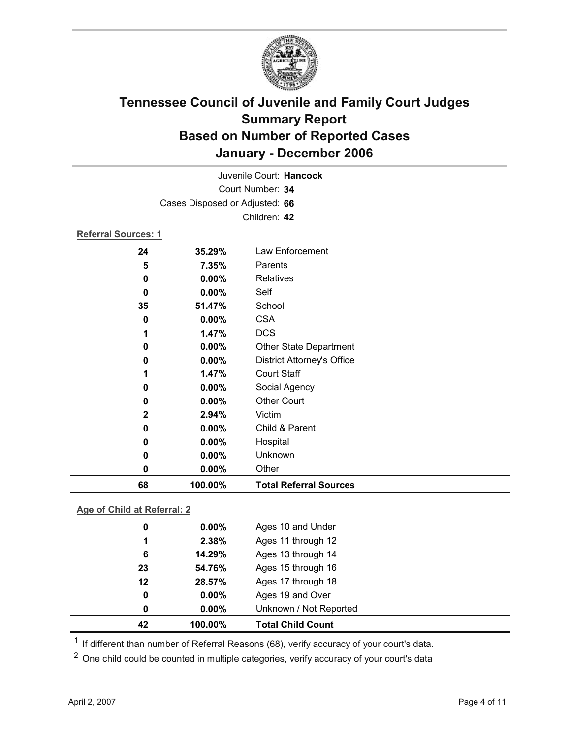

| 68                         | 100.00%                        | <b>Total Referral Sources</b>     |  |  |
|----------------------------|--------------------------------|-----------------------------------|--|--|
| 0                          | 0.00%                          | Other                             |  |  |
| 0                          | 0.00%                          | Unknown                           |  |  |
| 0                          | 0.00%                          | Hospital                          |  |  |
| 0                          | 0.00%                          | Child & Parent                    |  |  |
| $\mathbf 2$                | 2.94%                          | Victim                            |  |  |
| 0                          | 0.00%                          | <b>Other Court</b>                |  |  |
| 0                          | 0.00%                          | Social Agency                     |  |  |
| 1                          | 1.47%                          | <b>Court Staff</b>                |  |  |
| 0                          | 0.00%                          | <b>District Attorney's Office</b> |  |  |
| 0                          | 0.00%                          | Other State Department            |  |  |
| 1                          | 1.47%                          | <b>DCS</b>                        |  |  |
| 0                          | 0.00%                          | <b>CSA</b>                        |  |  |
| 35                         | 51.47%                         | School                            |  |  |
| 0                          | $0.00\%$                       | Self                              |  |  |
| 0                          | 0.00%                          | Relatives                         |  |  |
| 5                          | 7.35%                          | Parents                           |  |  |
| 24                         | 35.29%                         | <b>Law Enforcement</b>            |  |  |
| <b>Referral Sources: 1</b> |                                |                                   |  |  |
|                            | Children: 42                   |                                   |  |  |
|                            | Cases Disposed or Adjusted: 66 |                                   |  |  |
|                            | Court Number: 34               |                                   |  |  |
|                            | Juvenile Court: Hancock        |                                   |  |  |
|                            |                                |                                   |  |  |

### **Age of Child at Referral: 2**

| 42 | 100.00%  | <b>Total Child Count</b> |
|----|----------|--------------------------|
| 0  | $0.00\%$ | Unknown / Not Reported   |
| 0  | $0.00\%$ | Ages 19 and Over         |
| 12 | 28.57%   | Ages 17 through 18       |
| 23 | 54.76%   | Ages 15 through 16       |
| 6  | 14.29%   | Ages 13 through 14       |
| 1  | 2.38%    | Ages 11 through 12       |
| 0  | $0.00\%$ | Ages 10 and Under        |
|    |          |                          |

 $1$  If different than number of Referral Reasons (68), verify accuracy of your court's data.

<sup>2</sup> One child could be counted in multiple categories, verify accuracy of your court's data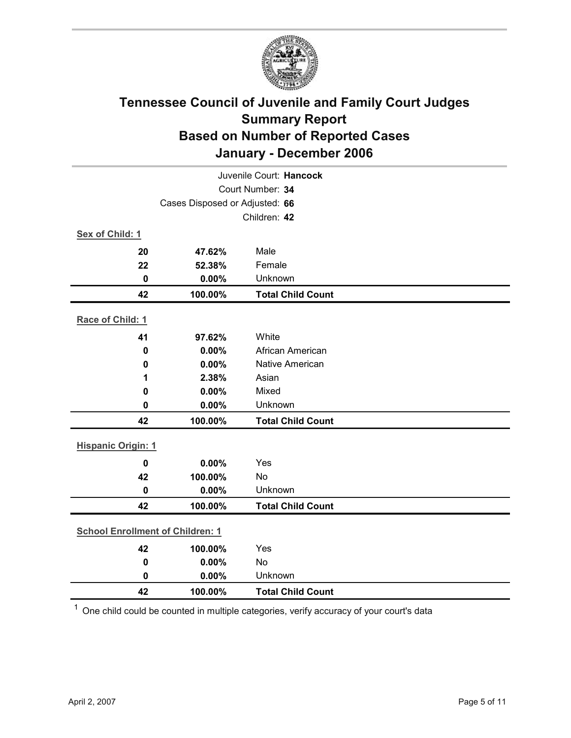

| Juvenile Court: Hancock                 |         |                          |  |
|-----------------------------------------|---------|--------------------------|--|
| Court Number: 34                        |         |                          |  |
| Cases Disposed or Adjusted: 66          |         |                          |  |
|                                         |         | Children: 42             |  |
| Sex of Child: 1                         |         |                          |  |
| 20                                      | 47.62%  | Male                     |  |
| 22                                      | 52.38%  | Female                   |  |
| $\mathbf 0$                             | 0.00%   | Unknown                  |  |
| 42                                      | 100.00% | <b>Total Child Count</b> |  |
| Race of Child: 1                        |         |                          |  |
| 41                                      | 97.62%  | White                    |  |
| $\mathbf 0$                             | 0.00%   | African American         |  |
| $\mathbf 0$                             | 0.00%   | Native American          |  |
| 1                                       | 2.38%   | Asian                    |  |
| 0                                       | 0.00%   | Mixed                    |  |
| $\mathbf 0$                             | 0.00%   | Unknown                  |  |
| 42                                      | 100.00% | <b>Total Child Count</b> |  |
| <b>Hispanic Origin: 1</b>               |         |                          |  |
| $\mathbf 0$                             | 0.00%   | Yes                      |  |
| 42                                      | 100.00% | <b>No</b>                |  |
| $\mathbf 0$                             | 0.00%   | Unknown                  |  |
| 42                                      | 100.00% | <b>Total Child Count</b> |  |
| <b>School Enrollment of Children: 1</b> |         |                          |  |
| 42                                      | 100.00% | Yes                      |  |
| $\pmb{0}$                               | 0.00%   | No                       |  |
| 0                                       | 0.00%   | Unknown                  |  |
| 42                                      | 100.00% | <b>Total Child Count</b> |  |

 $1$  One child could be counted in multiple categories, verify accuracy of your court's data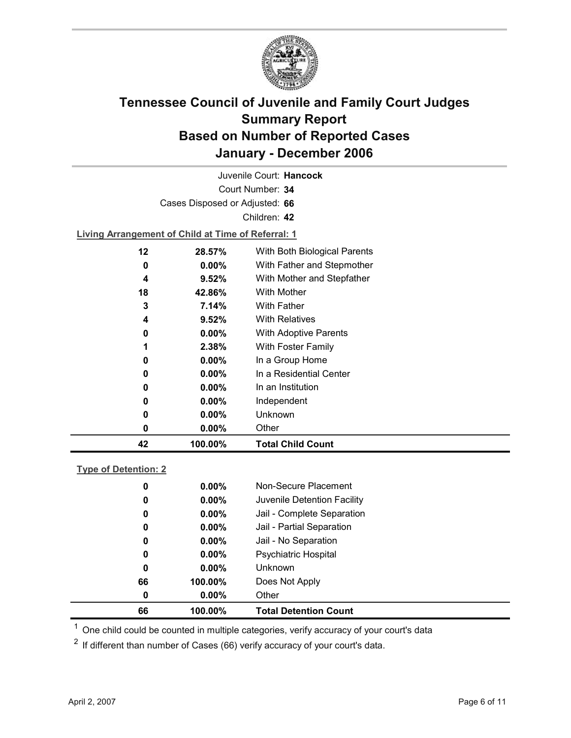

Court Number: **34** Juvenile Court: **Hancock** Cases Disposed or Adjusted: **66** Children: **42 Living Arrangement of Child at Time of Referral: 1 12 28.57%** With Both Biological Parents **0 0.00%** With Father and Stepmother **4 9.52%** With Mother and Stepfather **18 42.86%** With Mother **3 7.14%** With Father **4 9.52%** With Relatives **0 0.00%** With Adoptive Parents **1 2.38%** With Foster Family **0 0.00%** In a Group Home

**0 0.00%** In a Residential Center **0 0.00%** In an Institution **0 0.00%** Independent **0 0.00%** Unknown **0 0.00%** Other **42 100.00% Total Child Count**

### **Type of Detention: 2**

| 66 | 100.00%  | <b>Total Detention Count</b> |
|----|----------|------------------------------|
| 0  | $0.00\%$ | Other                        |
| 66 | 100.00%  | Does Not Apply               |
| 0  | $0.00\%$ | <b>Unknown</b>               |
| 0  | $0.00\%$ | <b>Psychiatric Hospital</b>  |
| 0  | $0.00\%$ | Jail - No Separation         |
| 0  | $0.00\%$ | Jail - Partial Separation    |
| 0  | $0.00\%$ | Jail - Complete Separation   |
| 0  | $0.00\%$ | Juvenile Detention Facility  |
| 0  | $0.00\%$ | Non-Secure Placement         |
|    |          |                              |

 $<sup>1</sup>$  One child could be counted in multiple categories, verify accuracy of your court's data</sup>

 $2$  If different than number of Cases (66) verify accuracy of your court's data.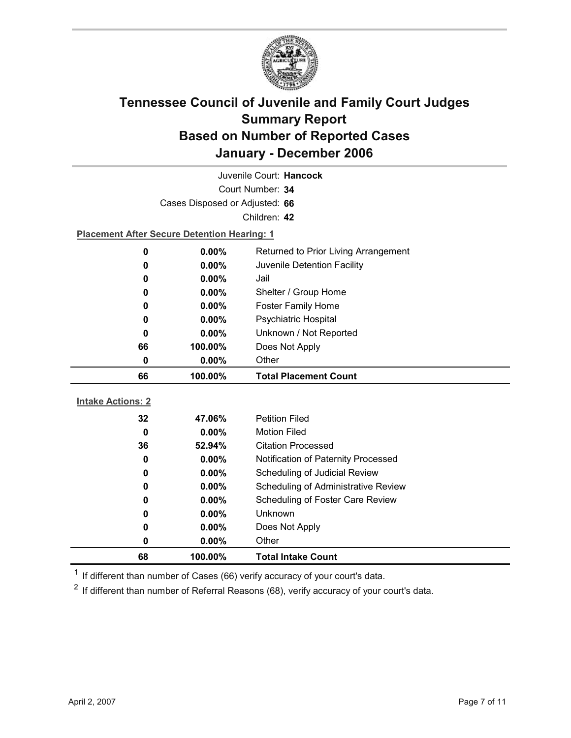

| Juvenile Court: Hancock  |                                                    |                                     |  |  |
|--------------------------|----------------------------------------------------|-------------------------------------|--|--|
|                          | Court Number: 34                                   |                                     |  |  |
|                          | Cases Disposed or Adjusted: 66                     |                                     |  |  |
|                          |                                                    | Children: 42                        |  |  |
|                          | <b>Placement After Secure Detention Hearing: 1</b> |                                     |  |  |
| 0                        | $0.00\%$<br>Returned to Prior Living Arrangement   |                                     |  |  |
| 0                        | 0.00%                                              | Juvenile Detention Facility         |  |  |
| 0                        | $0.00\%$                                           | Jail                                |  |  |
| 0                        | 0.00%                                              | Shelter / Group Home                |  |  |
| 0                        | $0.00\%$                                           | <b>Foster Family Home</b>           |  |  |
| 0                        | 0.00%                                              | Psychiatric Hospital                |  |  |
| 0                        | 0.00%                                              | Unknown / Not Reported              |  |  |
| 66                       | 100.00%                                            | Does Not Apply                      |  |  |
| 0                        | 0.00%                                              | Other                               |  |  |
| 66                       | 100.00%                                            | <b>Total Placement Count</b>        |  |  |
| <b>Intake Actions: 2</b> |                                                    |                                     |  |  |
| 32                       |                                                    |                                     |  |  |
|                          |                                                    |                                     |  |  |
|                          | 47.06%                                             | <b>Petition Filed</b>               |  |  |
| $\mathbf 0$              | $0.00\%$                                           | <b>Motion Filed</b>                 |  |  |
| 36                       | 52.94%                                             | <b>Citation Processed</b>           |  |  |
| 0                        | $0.00\%$                                           | Notification of Paternity Processed |  |  |
| 0                        | 0.00%                                              | Scheduling of Judicial Review       |  |  |
| 0                        | $0.00\%$                                           | Scheduling of Administrative Review |  |  |
| 0                        | 0.00%                                              | Scheduling of Foster Care Review    |  |  |
| 0                        | 0.00%                                              | <b>Unknown</b>                      |  |  |
| 0<br>0                   | $0.00\%$<br>0.00%                                  | Does Not Apply<br>Other             |  |  |

 $1$  If different than number of Cases (66) verify accuracy of your court's data.

 $2$  If different than number of Referral Reasons (68), verify accuracy of your court's data.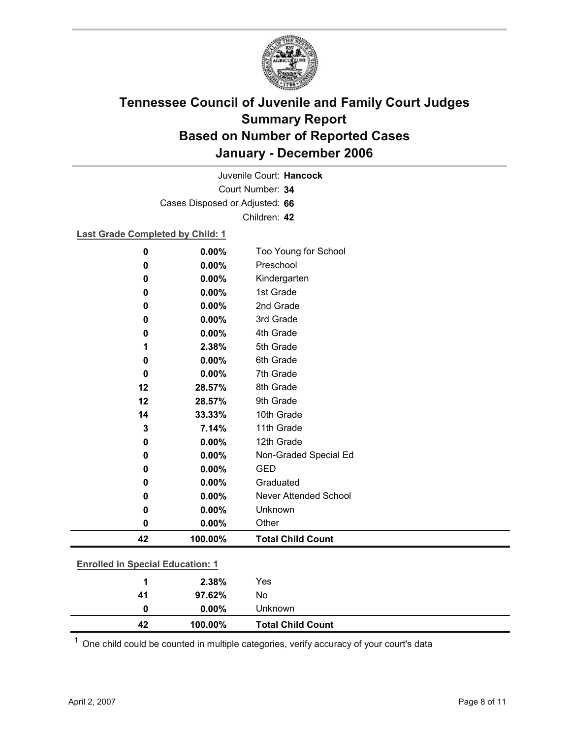

Court Number: **34** Juvenile Court: **Hancock** Cases Disposed or Adjusted: **66** Children: **42**

### **Last Grade Completed by Child: 1**

| $\bf{0}$                                | 0.00%   | Too Young for School         |
|-----------------------------------------|---------|------------------------------|
| 0                                       | 0.00%   | Preschool                    |
| 0                                       | 0.00%   | Kindergarten                 |
| 0                                       | 0.00%   | 1st Grade                    |
| 0                                       | 0.00%   | 2nd Grade                    |
| 0                                       | 0.00%   | 3rd Grade                    |
| 0                                       | 0.00%   | 4th Grade                    |
| 1                                       | 2.38%   | 5th Grade                    |
| 0                                       | 0.00%   | 6th Grade                    |
| $\bf{0}$                                | 0.00%   | 7th Grade                    |
| 12                                      | 28.57%  | 8th Grade                    |
| 12                                      | 28.57%  | 9th Grade                    |
| 14                                      | 33.33%  | 10th Grade                   |
| 3                                       | 7.14%   | 11th Grade                   |
| 0                                       | 0.00%   | 12th Grade                   |
| 0                                       | 0.00%   | Non-Graded Special Ed        |
| $\bf{0}$                                | 0.00%   | <b>GED</b>                   |
| $\bf{0}$                                | 0.00%   | Graduated                    |
| $\bf{0}$                                | 0.00%   | <b>Never Attended School</b> |
| 0                                       | 0.00%   | Unknown                      |
| $\bf{0}$                                | 0.00%   | Other                        |
| 42                                      | 100.00% | <b>Total Child Count</b>     |
|                                         |         |                              |
| <b>Enrolled in Special Education: 1</b> |         |                              |
| 1                                       | 2.38%   | Yes                          |

**42 100.00% Total Child Count**  $1$  One child could be counted in multiple categories, verify accuracy of your court's data

**41 97.62%** No

**0 0.00%** Unknown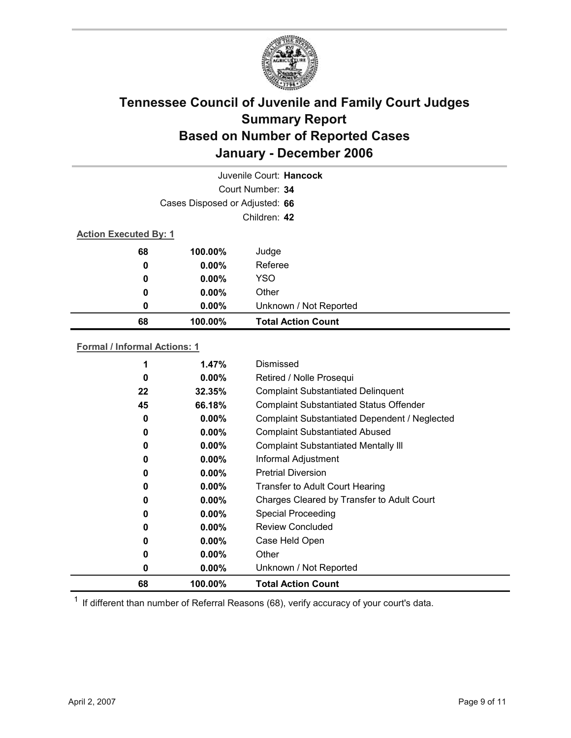

| Juvenile Court: Hancock      |                                |                           |  |  |
|------------------------------|--------------------------------|---------------------------|--|--|
|                              | Court Number: 34               |                           |  |  |
|                              | Cases Disposed or Adjusted: 66 |                           |  |  |
|                              | Children: 42                   |                           |  |  |
| <b>Action Executed By: 1</b> |                                |                           |  |  |
| 68                           | 100.00%                        | Judge                     |  |  |
| 0                            | $0.00\%$                       | Referee                   |  |  |
| 0                            | $0.00\%$                       | <b>YSO</b>                |  |  |
| 0                            | $0.00\%$                       | Other                     |  |  |
| 0                            | $0.00\%$                       | Unknown / Not Reported    |  |  |
| 68                           | 100.00%                        | <b>Total Action Count</b> |  |  |

#### **Formal / Informal Actions: 1**

|    | $1.47\%$ | Dismissed                                      |
|----|----------|------------------------------------------------|
| 0  | $0.00\%$ | Retired / Nolle Prosequi                       |
| 22 | 32.35%   | <b>Complaint Substantiated Delinquent</b>      |
| 45 | 66.18%   | <b>Complaint Substantiated Status Offender</b> |
| 0  | $0.00\%$ | Complaint Substantiated Dependent / Neglected  |
| 0  | $0.00\%$ | <b>Complaint Substantiated Abused</b>          |
| 0  | $0.00\%$ | <b>Complaint Substantiated Mentally III</b>    |
| 0  | $0.00\%$ | Informal Adjustment                            |
| 0  | $0.00\%$ | <b>Pretrial Diversion</b>                      |
| 0  | $0.00\%$ | <b>Transfer to Adult Court Hearing</b>         |
| 0  | $0.00\%$ | Charges Cleared by Transfer to Adult Court     |
| 0  | $0.00\%$ | <b>Special Proceeding</b>                      |
| 0  | $0.00\%$ | <b>Review Concluded</b>                        |
| 0  | $0.00\%$ | Case Held Open                                 |
| 0  | $0.00\%$ | Other                                          |
| 0  | $0.00\%$ | Unknown / Not Reported                         |
| 68 | 100.00%  | <b>Total Action Count</b>                      |

 $1$  If different than number of Referral Reasons (68), verify accuracy of your court's data.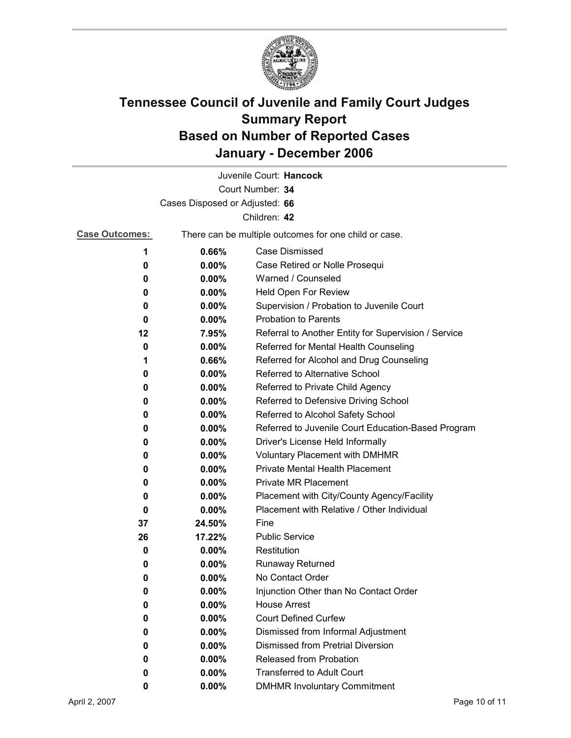

| Juvenile Court: Hancock |                                                  |                                                       |  |
|-------------------------|--------------------------------------------------|-------------------------------------------------------|--|
| Court Number: 34        |                                                  |                                                       |  |
|                         | Cases Disposed or Adjusted: 66                   |                                                       |  |
|                         |                                                  | Children: 42                                          |  |
| <b>Case Outcomes:</b>   |                                                  | There can be multiple outcomes for one child or case. |  |
| 1                       | <b>Case Dismissed</b><br>0.66%                   |                                                       |  |
| 0                       | 0.00%<br>Case Retired or Nolle Prosequi          |                                                       |  |
| 0                       | 0.00%<br>Warned / Counseled                      |                                                       |  |
| 0                       | $0.00\%$                                         | Held Open For Review                                  |  |
| 0                       | $0.00\%$                                         | Supervision / Probation to Juvenile Court             |  |
| 0                       | $0.00\%$                                         | <b>Probation to Parents</b>                           |  |
| 12                      | 7.95%                                            | Referral to Another Entity for Supervision / Service  |  |
| 0                       | 0.00%                                            | Referred for Mental Health Counseling                 |  |
| 1                       | 0.66%                                            | Referred for Alcohol and Drug Counseling              |  |
| 0                       | 0.00%                                            | Referred to Alternative School                        |  |
| 0                       | $0.00\%$                                         | Referred to Private Child Agency                      |  |
| 0                       | Referred to Defensive Driving School<br>$0.00\%$ |                                                       |  |
| 0                       | $0.00\%$<br>Referred to Alcohol Safety School    |                                                       |  |
| 0                       | $0.00\%$                                         | Referred to Juvenile Court Education-Based Program    |  |
| 0                       | 0.00%                                            | Driver's License Held Informally                      |  |
| 0                       | $0.00\%$                                         | <b>Voluntary Placement with DMHMR</b>                 |  |
| 0                       | 0.00%                                            | <b>Private Mental Health Placement</b>                |  |
| 0                       | 0.00%                                            | <b>Private MR Placement</b>                           |  |
| 0                       | $0.00\%$                                         | Placement with City/County Agency/Facility            |  |
| 0                       | $0.00\%$                                         | Placement with Relative / Other Individual            |  |
| 37                      | 24.50%                                           | Fine                                                  |  |
| 26                      | 17.22%                                           | <b>Public Service</b>                                 |  |
| 0                       | $0.00\%$                                         | Restitution                                           |  |
| 0                       | $0.00\%$                                         | Runaway Returned                                      |  |
| 0                       | 0.00%                                            | No Contact Order                                      |  |
| 0                       | 0.00%                                            | Injunction Other than No Contact Order                |  |
| 0                       | 0.00%                                            | <b>House Arrest</b>                                   |  |
| 0                       | $0.00\%$                                         | <b>Court Defined Curfew</b>                           |  |
| 0                       | 0.00%                                            | Dismissed from Informal Adjustment                    |  |
| 0                       | 0.00%                                            | <b>Dismissed from Pretrial Diversion</b>              |  |
| 0                       | 0.00%                                            | Released from Probation                               |  |
| 0                       | 0.00%                                            | <b>Transferred to Adult Court</b>                     |  |
| 0                       | $0.00\%$                                         | <b>DMHMR Involuntary Commitment</b>                   |  |